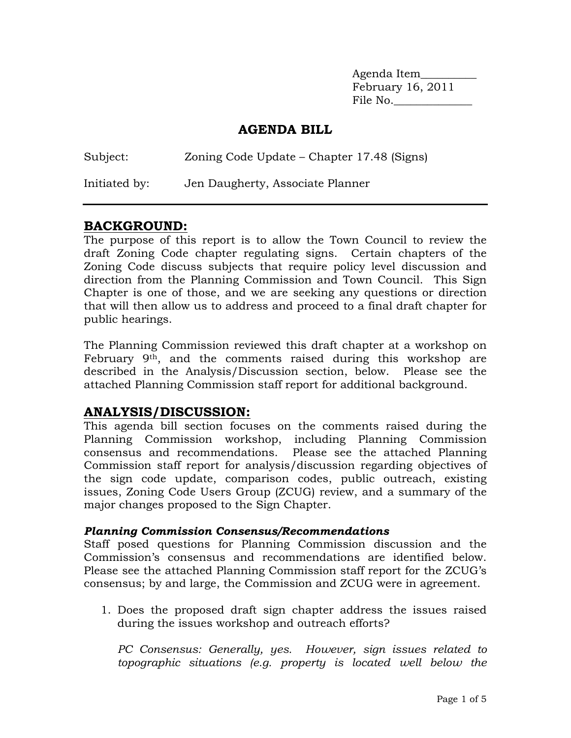Agenda Item\_\_\_\_\_\_\_\_\_\_ February 16, 2011 File No.\_\_\_\_\_\_\_\_\_\_\_\_\_\_

### **AGENDA BILL**

| Subject:      | Zoning Code Update – Chapter 17.48 (Signs) |
|---------------|--------------------------------------------|
| Initiated by: | Jen Daugherty, Associate Planner           |

# **BACKGROUND:**

The purpose of this report is to allow the Town Council to review the draft Zoning Code chapter regulating signs. Certain chapters of the Zoning Code discuss subjects that require policy level discussion and direction from the Planning Commission and Town Council. This Sign Chapter is one of those, and we are seeking any questions or direction that will then allow us to address and proceed to a final draft chapter for public hearings.

The Planning Commission reviewed this draft chapter at a workshop on February 9<sup>th</sup>, and the comments raised during this workshop are described in the Analysis/Discussion section, below. Please see the attached Planning Commission staff report for additional background.

## **ANALYSIS/DISCUSSION:**

This agenda bill section focuses on the comments raised during the Planning Commission workshop, including Planning Commission consensus and recommendations. Please see the attached Planning Commission staff report for analysis/discussion regarding objectives of the sign code update, comparison codes, public outreach, existing issues, Zoning Code Users Group (ZCUG) review, and a summary of the major changes proposed to the Sign Chapter.

### *Planning Commission Consensus/Recommendations*

Staff posed questions for Planning Commission discussion and the Commission's consensus and recommendations are identified below. Please see the attached Planning Commission staff report for the ZCUG's consensus; by and large, the Commission and ZCUG were in agreement.

1. Does the proposed draft sign chapter address the issues raised during the issues workshop and outreach efforts?

*PC Consensus: Generally, yes. However, sign issues related to topographic situations (e.g. property is located well below the*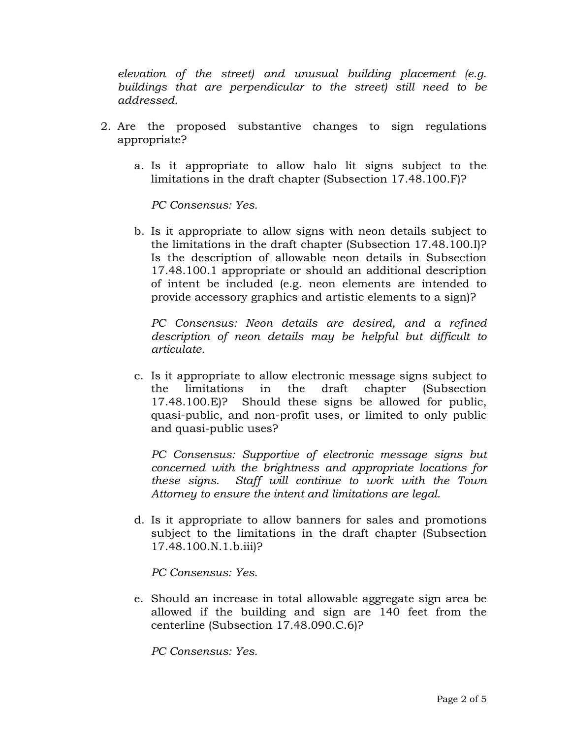*elevation of the street) and unusual building placement (e.g. buildings that are perpendicular to the street) still need to be addressed.* 

- 2. Are the proposed substantive changes to sign regulations appropriate?
	- a. Is it appropriate to allow halo lit signs subject to the limitations in the draft chapter (Subsection 17.48.100.F)?

*PC Consensus: Yes.*

b. Is it appropriate to allow signs with neon details subject to the limitations in the draft chapter (Subsection 17.48.100.I)? Is the description of allowable neon details in Subsection 17.48.100.1 appropriate or should an additional description of intent be included (e.g. neon elements are intended to provide accessory graphics and artistic elements to a sign)?

*PC Consensus: Neon details are desired, and a refined description of neon details may be helpful but difficult to articulate.* 

c. Is it appropriate to allow electronic message signs subject to the limitations in the draft chapter (Subsection 17.48.100.E)? Should these signs be allowed for public, quasi-public, and non-profit uses, or limited to only public and quasi-public uses?

*PC Consensus: Supportive of electronic message signs but concerned with the brightness and appropriate locations for these signs. Staff will continue to work with the Town Attorney to ensure the intent and limitations are legal.* 

d. Is it appropriate to allow banners for sales and promotions subject to the limitations in the draft chapter (Subsection 17.48.100.N.1.b.iii)?

*PC Consensus: Yes.*

e. Should an increase in total allowable aggregate sign area be allowed if the building and sign are 140 feet from the centerline (Subsection 17.48.090.C.6)?

*PC Consensus: Yes.*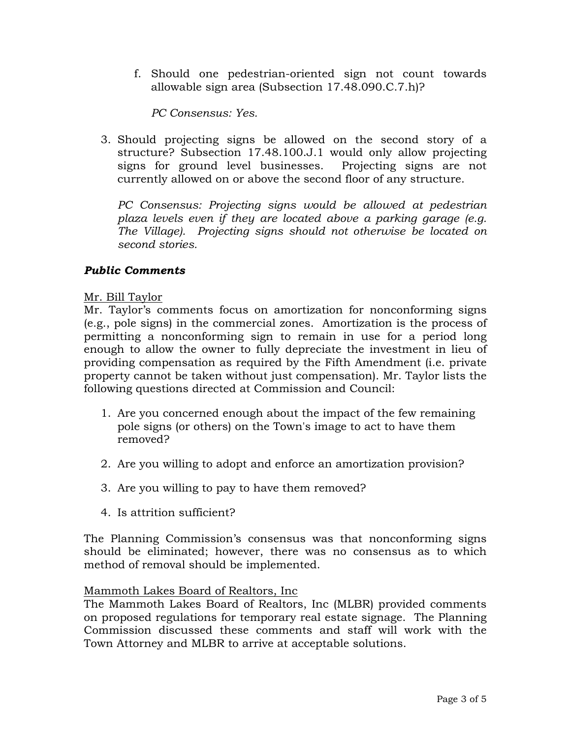f. Should one pedestrian-oriented sign not count towards allowable sign area (Subsection 17.48.090.C.7.h)?

*PC Consensus: Yes.*

3. Should projecting signs be allowed on the second story of a structure? Subsection 17.48.100.J.1 would only allow projecting signs for ground level businesses. Projecting signs are not currently allowed on or above the second floor of any structure.

*PC Consensus: Projecting signs would be allowed at pedestrian plaza levels even if they are located above a parking garage (e.g. The Village). Projecting signs should not otherwise be located on second stories.*

### *Public Comments*

### Mr. Bill Taylor

Mr. Taylor's comments focus on amortization for nonconforming signs (e.g., pole signs) in the commercial zones. Amortization is the process of permitting a nonconforming sign to remain in use for a period long enough to allow the owner to fully depreciate the investment in lieu of providing compensation as required by the Fifth Amendment (i.e. private property cannot be taken without just compensation). Mr. Taylor lists the following questions directed at Commission and Council:

- 1. Are you concerned enough about the impact of the few remaining pole signs (or others) on the Town's image to act to have them removed?
- 2. Are you willing to adopt and enforce an amortization provision?
- 3. Are you willing to pay to have them removed?
- 4. Is attrition sufficient?

The Planning Commission's consensus was that nonconforming signs should be eliminated; however, there was no consensus as to which method of removal should be implemented.

### Mammoth Lakes Board of Realtors, Inc

The Mammoth Lakes Board of Realtors, Inc (MLBR) provided comments on proposed regulations for temporary real estate signage. The Planning Commission discussed these comments and staff will work with the Town Attorney and MLBR to arrive at acceptable solutions.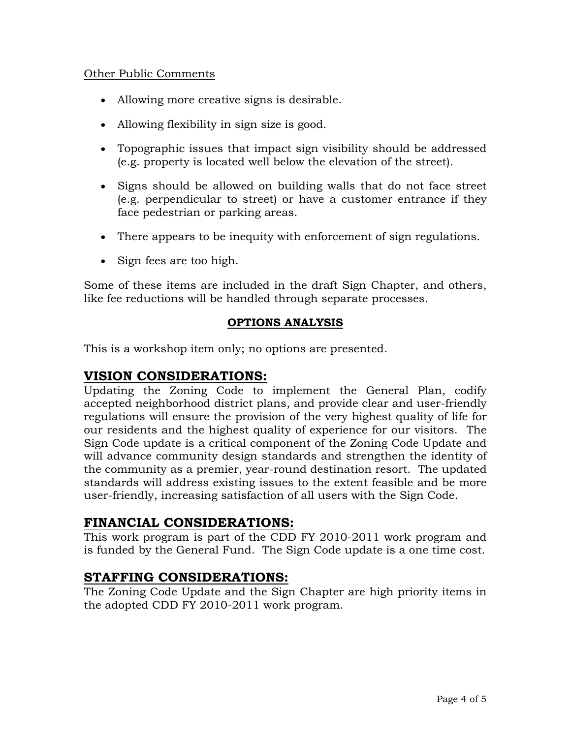### Other Public Comments

- Allowing more creative signs is desirable.
- Allowing flexibility in sign size is good.
- Topographic issues that impact sign visibility should be addressed (e.g. property is located well below the elevation of the street).
- Signs should be allowed on building walls that do not face street (e.g. perpendicular to street) or have a customer entrance if they face pedestrian or parking areas.
- There appears to be inequity with enforcement of sign regulations.
- Sign fees are too high.

Some of these items are included in the draft Sign Chapter, and others, like fee reductions will be handled through separate processes.

## **OPTIONS ANALYSIS**

This is a workshop item only; no options are presented.

## **VISION CONSIDERATIONS:**

Updating the Zoning Code to implement the General Plan, codify accepted neighborhood district plans, and provide clear and user-friendly regulations will ensure the provision of the very highest quality of life for our residents and the highest quality of experience for our visitors. The Sign Code update is a critical component of the Zoning Code Update and will advance community design standards and strengthen the identity of the community as a premier, year-round destination resort. The updated standards will address existing issues to the extent feasible and be more user-friendly, increasing satisfaction of all users with the Sign Code.

## **FINANCIAL CONSIDERATIONS:**

This work program is part of the CDD FY 2010-2011 work program and is funded by the General Fund. The Sign Code update is a one time cost.

## **STAFFING CONSIDERATIONS:**

The Zoning Code Update and the Sign Chapter are high priority items in the adopted CDD FY 2010-2011 work program.